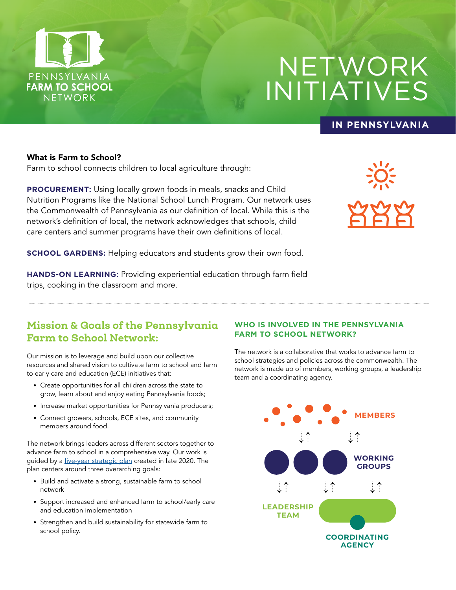

# NETWORK INITIATIVES

### **IN PENNSYLVANIA**

#### What is Farm to School?

Farm to school connects children to local agriculture through:

**PROCUREMENT:** Using locally grown foods in meals, snacks and Child Nutrition Programs like the National School Lunch Program. Our network uses the Commonwealth of Pennsylvania as our definition of local. While this is the network's definition of local, the network acknowledges that schools, child care centers and summer programs have their own definitions of local.



**SCHOOL GARDENS:** Helping educators and students grow their own food.

**HANDS-ON LEARNING:** Providing experiential education through farm field trips, cooking in the classroom and more.

# Mission & Goals of the Pennsylvania Farm to School Network:

Our mission is to leverage and build upon our collective resources and shared vision to cultivate farm to school and farm to early care and education (ECE) initiatives that:

- Create opportunities for all children across the state to grow, learn about and enjoy eating Pennsylvania foods;
- Increase market opportunities for Pennsylvania producers;
- Connect growers, schools, ECE sites, and community members around food.

The network brings leaders across different sectors together to advance farm to school in a comprehensive way. Our work is guided by a *five-year strategic plan* created in late 2020. The plan centers around three overarching goals:

- Build and activate a strong, sustainable farm to school network
- Support increased and enhanced farm to school/early care and education implementation
- Strengthen and build sustainability for statewide farm to school policy.

#### **WHO IS INVOLVED IN THE PENNSYLVANIA FARM TO SCHOOL NETWORK?**

The network is a collaborative that works to advance farm to school strategies and policies across the commonwealth. The network is made up of members, working groups, a leadership team and a coordinating agency. ramaling agoncy.